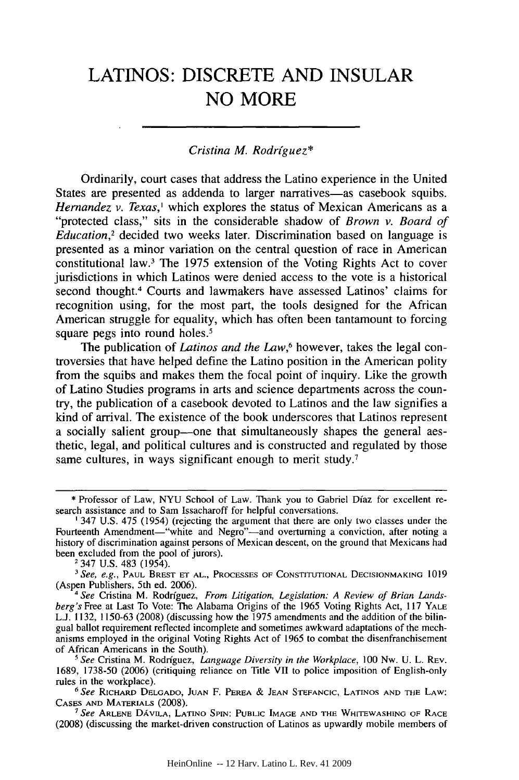# **LATINOS:** DISCRETE **AND INSULAR NO** MORE

# *Cristina M. Rodriguez\**

Ordinarily, court cases that address the Latino experience in the United States are presented as addenda to larger narratives-as casebook squibs. *Hernandez v. Texas,'* which explores the status of Mexican Americans as a "protected class," sits in the considerable shadow of *Brown v. Board of Education,2* decided two weeks later. Discrimination based on language is presented as a minor variation on the central question of race in American constitutional law.' The 1975 extension of the Voting Rights Act to cover jurisdictions in which Latinos were denied access to the vote is a historical second thought.4 Courts and lawmakers have assessed Latinos' claims for recognition using, for the most part, the tools designed for the African American struggle for equality, which has often been tantamount to forcing square pegs into round holes.<sup>5</sup>

The publication of *Latinos and the Law*,<sup>6</sup> however, takes the legal controversies that have helped define the Latino position in the American polity from the squibs and makes them the focal point of inquiry. Like the growth of Latino Studies programs in arts and science departments across the country, the publication of a casebook devoted to Latinos and the law signifies a kind of arrival. The existence of the book underscores that Latinos represent a socially salient group—one that simultaneously shapes the general aesthetic, legal, and political cultures and is constructed and regulated by those same cultures, in ways significant enough to merit study.<sup>7</sup>

2347 U.S. 483 (1954).

**<sup>\*</sup>** Professor of Law, NYU School of Law. Thank you to Gabriel Dfaz for excellent research assistance and to Sam Issacharoff for helpful conversations.

**<sup>1</sup>** 347 U.S. 475 (1954) (rejecting the argument that there are only two classes under the Fourteenth Amendment-"white and Negro"-and overturning a conviction, after noting a history of discrimination against persons of Mexican descent, on the ground that Mexicans had been excluded from the pool of jurors).

<sup>&</sup>lt;sup>3</sup> See, e.g., PAUL BREST ET AL., PROCESSES OF CONSTITUTIONAL DECISIONMAKING 1019 (Aspen Publishers, 5th ed. 2006).

*<sup>4</sup> See* Cristina M. Rodrfguez, *From Litigation, Legislation: A Review of Brian Landsberg's* Free at Last To Vote: The Alabama Origins of the 1965 Voting Rights Act, 117 YALE L.J. 1132, 1150-63 (2008) (discussing how the 1975 amendments and the addition of the bilingual ballot requirement reflected incomplete and sometimes awkward adaptations of the mechanisms employed in the original Voting Rights Act of 1965 to combat the disenfranchisement of African Americans in the South).

*<sup>&#</sup>x27;See* Cristina M. Rodriguez, *Language Diversity in the Workplace,* 100 Nw. U. L. REV. 1689, 1738-50 (2006) (critiquing reliance on Title VII to police imposition of English-only rules in the workplace). *<sup>6</sup> See* RICHARD **DELGADO, JUAN** F. PEREA & **JEAN** STEFANCIC, **LATINOS AND** THE LAW:

CASES **AND** MATERIALS (2008). *7 See* **ARLENE DAVILA, LATINO SPIN: PUBLIC IMAGE AND** THE WHITEWASHING OF RACE

<sup>(2008) (</sup>discussing the market-driven construction of Latinos as upwardly mobile members of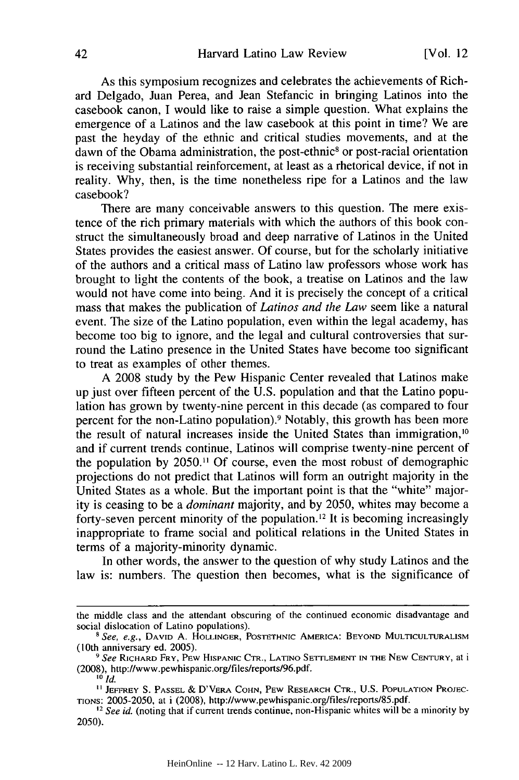As this symposium recognizes and celebrates the achievements of Richard Delgado, Juan Perea, and Jean Stefancic in bringing Latinos into the casebook canon, I would like to raise a simple question. What explains the emergence of a Latinos and the law casebook at this point in time? We are past the heyday of the ethnic and critical studies movements, and at the dawn of the Obama administration, the post-ethnic<sup>8</sup> or post-racial orientation is receiving substantial reinforcement, at least as a rhetorical device, if not in reality. Why, then, is the time nonetheless ripe for a Latinos and the law casebook?

There are many conceivable answers to this question. The mere existence of the rich primary materials with which the authors of this book construct the simultaneously broad and deep narrative of Latinos in the United States provides the easiest answer. Of course, but for the scholarly initiative of the authors and a critical mass of Latino law professors whose work has brought to light the contents of the book, a treatise on Latinos and the law would not have come into being. And it is precisely the concept of a critical mass that makes the publication of *Latinos and the Law* seem like a natural event. The size of the Latino population, even within the legal academy, has become too big to ignore, and the legal and cultural controversies that surround the Latino presence in the United States have become too significant to treat as examples of other themes.

A 2008 study by the Pew Hispanic Center revealed that Latinos make up just over fifteen percent of the U.S. population and that the Latino population has grown by twenty-nine percent in this decade (as compared to four percent for the non-Latino population).<sup>9</sup> Notably, this growth has been more the result of natural increases inside the United States than immigration,<sup>10</sup> and if current trends continue, Latinos will comprise twenty-nine percent of the population by 2050." Of course, even the most robust of demographic projections do not predict that Latinos will form an outright majority in the United States as a whole. But the important point is that the "white" majority is ceasing to be a *dominant* majority, and by 2050, whites may become a forty-seven percent minority of the population.<sup>12</sup> It is becoming increasingly inappropriate to frame social and political relations in the United States in terms of a majority-minority dynamic.

In other words, the answer to the question of why study Latinos and the law is: numbers. The question then becomes, what is the significance of

the middle class and the attendant obscuring of the continued economic disadvantage and social dislocation of Latino populations).

<sup>&</sup>lt;sup>8</sup> *See, e.g.*, DAVID A. HOLLINGER, POSTETHNIC AMERICA: BEYOND MULTICULTURALISM (10th anniversary ed. 2005).

<sup>(10</sup>th anniversary ed. 2005). *<sup>9</sup> See* RICHARD FRY, PEW HISPANIC CTR., **LATINO** SETTLEMENT IN **THE NEW CENTURY,** at <sup>i</sup> (2008), http://www.pewhispanic.org/files/reports/96.pdf.

 $^{10}$  *Id.* 

**<sup>&</sup>quot;** JEFFREY **S. PASSEL** & D'VERA **COHN,** PEW RESEARCH CTR., U.S. **POPULATION PROJEC-TIONS:** 2005-2050, at i **(2008),** http://www.pewhispanic.org/files/reports/85.pdf. *'2 See id.* (noting that if current trends continue, non-Hispanic whites will be a minority by

<sup>2050).</sup>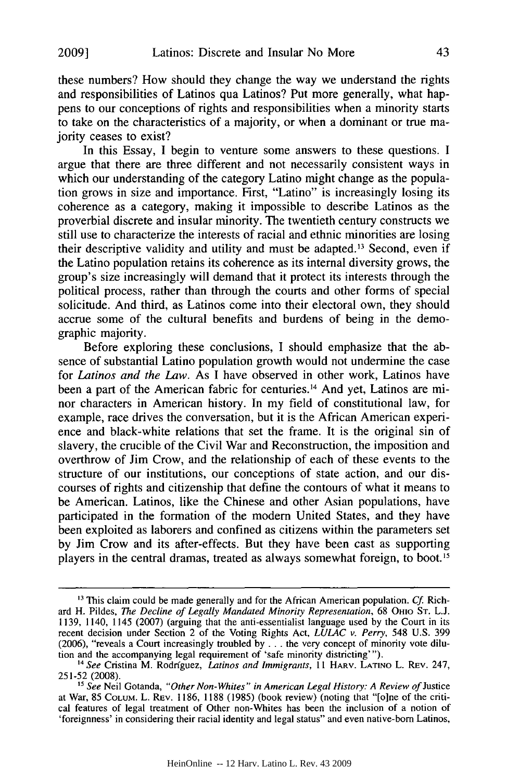these numbers? How should they change the way we understand the rights and responsibilities of Latinos qua Latinos? Put more generally, what happens to our conceptions of rights and responsibilities when a minority starts to take on the characteristics of a majority, or when a dominant or true majority ceases to exist?

In this Essay, I begin to venture some answers to these questions. I argue that there are three different and not necessarily consistent ways in which our understanding of the category Latino might change as the population grows in size and importance. First, "Latino" is increasingly losing its coherence as a category, making it impossible to describe Latinos as the proverbial discrete and insular minority. The twentieth century constructs we still use to characterize the interests of racial and ethnic minorities are losing their descriptive validity and utility and must be adapted.<sup>13</sup> Second, even if the Latino population retains its coherence as its internal diversity grows, the group's size increasingly will demand that it protect its interests through the political process, rather than through the courts and other forms of special solicitude. And third, as Latinos come into their electoral own, they should accrue some of the cultural benefits and burdens of being in the demographic majority.

Before exploring these conclusions, I should emphasize that the absence of substantial Latino population growth would not undermine the case for *Latinos and the Law.* As I have observed in other work, Latinos have been a part of the American fabric for centuries.<sup>14</sup> And yet, Latinos are minor characters in American history. In my field of constitutional law, for example, race drives the conversation, but it is the African American experience and black-white relations that set the frame. It is the original sin of slavery, the crucible of the Civil War and Reconstruction, the imposition and overthrow of Jim Crow, and the relationship of each of these events to the structure of our institutions, our conceptions of state action, and our discourses of rights and citizenship that define the contours of what it means to be American. Latinos, like the Chinese and other Asian populations, have participated in the formation of the modem United States, and they have been exploited as laborers and confined as citizens within the parameters set by Jim Crow and its after-effects. But they have been cast as supporting players in the central dramas, treated as always somewhat foreign, to boot. <sup>5</sup>

**<sup>13</sup>** This claim could be made generally and for the African American population. *Cf* Richard H. Pildes, *The Decline of Legally Mandated Minority Representation,* 68 OHIO **ST.** L.J. 1139, 1140, 1145 (2007) (arguing that the anti-essentialist language used by the Court in its recent decision under Section 2 of the Voting Rights Act, *LULAC v. Perry,* 548 U.S. 399 (2006), "reveals a Court increasingly troubled by ... the very concept of minority vote dilution and the accompanying legal requirement of 'safe minority districting"'). **<sup>14</sup>***See* Cristina M. Rodriguez, *Latinos and Immigrants,* 11 HARV. **LATINO** L. REV. 247,

<sup>251-52 (2008).</sup>

<sup>&</sup>lt;sup>15</sup> See Neil Gotanda, "Other Non-Whites" in American Legal History: A Review of Justice at War, 85 **COLUM.** L. REV. 1186, 1188 (1985) (book review) (noting that "[o]ne of the critical features of legal treatment of Other non-Whites has been the inclusion of a notion of 'foreignness' in considering their racial identity and legal status" and even native-born Latinos,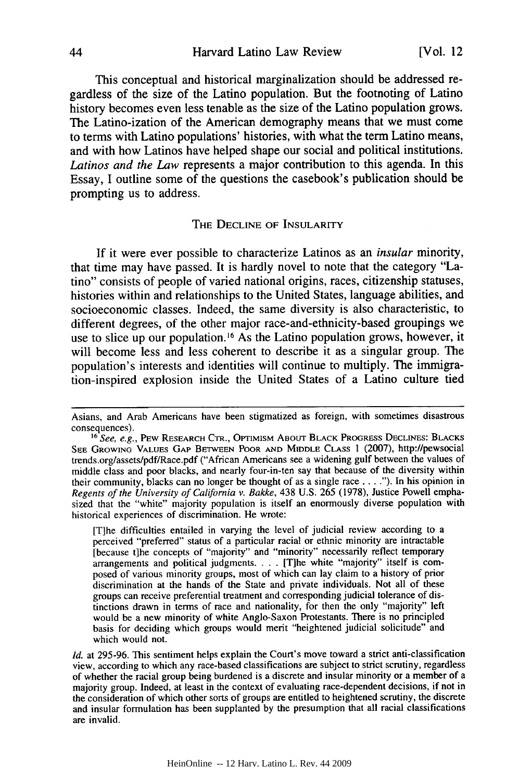This conceptual and historical marginalization should be addressed regardless of the size of the Latino population. But the footnoting of Latino history becomes even less tenable as the size of the Latino population grows. The Latino-ization of the American demography means that we must come to terms with Latino populations' histories, with what the term Latino means, and with how Latinos have helped shape our social and political institutions. *Latinos and the Law* represents a major contribution to this agenda. In this Essay, **I** outline some of the questions the casebook's publication should be prompting us to address.

# THE DECLINE OF **INSULARITY**

**If** it were ever possible to characterize Latinos as an *insular* minority, that time may have passed. It is hardly novel to note that the category "Latino" consists of people of varied national origins, races, citizenship statuses, histories within and relationships to the United States, language abilities, and socioeconomic classes. Indeed, the same diversity is also characteristic, to different degrees, of the other major race-and-ethnicity-based groupings we use to slice up our population.<sup>16</sup> As the Latino population grows, however, it will become less and less coherent to describe it as a singular group. The population's interests and identities will continue to multiply. The immigration-inspired explosion inside the United States of a Latino culture tied

[T]he difficulties entailed in varying the level of judicial review according to a perceived "preferred" status of a particular racial or ethnic minority are intractable [because t]he concepts of "majority" and "minority" necessarily reflect temporary arrangements and political judgments. . **.** . [T]he white "majority" itself is composed of various minority groups, most of which can lay claim to a history of prior discrimination at the hands of the State and private individuals. Not all of these groups can receive preferential treatment and corresponding judicial tolerance of distinctions drawn in terms of race and nationality, for then the only "majority" left would be a new minority of white Anglo-Saxon Protestants. There is no principled basis for deciding which groups would merit "heightened judicial solicitude" and which would not.

*Id.* at 295-96. This sentiment helps explain the Court's move toward a strict anti-classification view, according to which any race-based classifications are subject to strict scrutiny, regardless of whether the racial group being burdened is a discrete and insular minority or a member of a majority group. Indeed, at least in the context of evaluating race-dependent decisions, if not in the consideration of which other sorts of groups are entitled to heightened scrutiny, the discrete and insular formulation has been supplanted by the presumption that all racial classifications are invalid.

Asians, and Arab Americans have been stigmatized as foreign, with sometimes disastrous

<sup>&</sup>lt;sup>16</sup> See, e.g., PEW RESEARCH CTR., OPTIMISM ABOUT BLACK PROGRESS DECLINES: BLACKS **SEE** GROWING VALUES **GAP BETWEEN** POOR **AND** MIDDLE **CLASS** 1 (2007), http://pewsocial trends.org/assets/pdf/Race.pdf ("African Americans see a widening gulf between the values of middle class and poor blacks, and nearly four-in-ten say that because of the diversity within their community, blacks can no longer be thought of as a single race **.... ").** In his opinion in *Regents of the University of California v. Bakke,* 438 U.S. 265 (1978), Justice Powell emphasized that the "white" majority population is itself an enormously diverse population with historical experiences of discrimination. He wrote: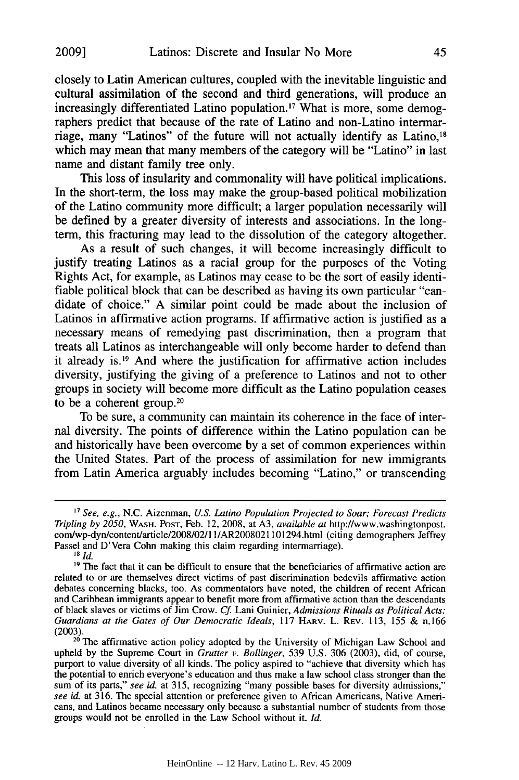closely to Latin American cultures, coupled with the inevitable linguistic and cultural assimilation of the second and third generations, will produce an increasingly differentiated Latino population.<sup>17</sup> What is more, some demographers predict that because of the rate of Latino and non-Latino intermarriage, many "Latinos" of the future will not actually identify as Latino,<sup>18</sup> which may mean that many members of the category will be "Latino" in last name and distant family tree only.

This loss of insularity and commonality will have political implications. In the short-term, the loss may make the group-based political mobilization of the Latino community more difficult; a larger population necessarily will be defined by a greater diversity of interests and associations. In the longterm, this fracturing may lead to the dissolution of the category altogether.

As a result of such changes, it will become increasingly difficult to justify treating Latinos as a racial group for the purposes of the Voting Rights Act, for example, as Latinos may cease to be the sort of easily identifiable political block that can be described as having its own particular "candidate of choice." A similar point could be made about the inclusion of Latinos in affirmative action programs. If affirmative action is justified as a necessary means of remedying past discrimination, then a program that treats all Latinos as interchangeable will only become harder to defend than it already **is.19** And where the justification for affirmative action includes diversity, justifying the giving of a preference to Latinos and not to other groups in society will become more difficult as the Latino population ceases to be a coherent group. $20$ 

To be sure, a community can maintain its coherence in the face of internal diversity. The points of difference within the Latino population can be and historically have been overcome by a set of common experiences within the United States. Part of the process of assimilation for new immigrants from Latin America arguably includes becoming "Latino," or transcending

<sup>17</sup> *See, e.g.,* N.C. Aizenman, *U.S. Latino Population Projected to Soar; Forecast Predicts Tripling by 2050,* WASH. **POST,** Feb. 12, 2008, at A3, *available at* http://www.washingtonpost. com/wp-dyn/content/article/2008/02/ 1/AR2008021101294.html (citing demographers Jeffrey Passel and D'Vera Cohn making this claim regarding intermarriage).

**<sup>18</sup>** *Id.*

<sup>&</sup>lt;sup>19</sup> The fact that it can be difficult to ensure that the beneficiaries of affirmative action are related to or are themselves direct victims of past discrimination bedevils affirmative action debates concerning blacks, **too.** As commentators have noted, the children of recent African and Caribbean immigrants appear to benefit more from affirmative action than the descendants of black slaves or victims of Jim Crow. **Cf.** Lani Guinier, *Admissions Rituals as Political Acts: Guardians at the Gates of Our Democratic Ideals,* **117** HARV. L. **REV. 113, 155 &** n.166  $(2003)$ 

<sup>&</sup>lt;sup>20</sup> The affirmative action policy adopted by the University of Michigan Law School and upheld by the Supreme Court in *Grutter v. Bollinger,* 539 U.S. 306 (2003), did, of course, upheld by the Supreme Court in *Grutter v. Bollinger*, 539 U.S. 306 (2003), did, of course, purport to value diversity of all kinds. The policy aspired to "achieve that diversity which has the potential to enrich everyone's education and thus make a law school class stronger than the sum of its parts," *see id.* at 315, recognizing "many possible bases for diversity admissions," *see id.* at 316. The special attention or preference given to African Americans, Native Americans, and Latinos became necessary only because a substantial number of students from those groups would not be enrolled in the Law School without it. *Id.*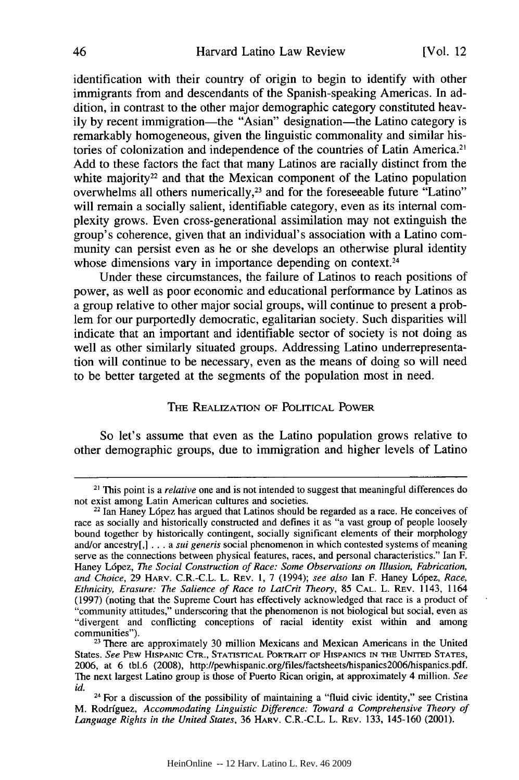identification with their country of origin to begin to identify with other immigrants from and descendants of the Spanish-speaking Americas. In addition, in contrast to the other major demographic category constituted heavily by recent immigration—the "Asian" designation—the Latino category is remarkably homogeneous, given the linguistic commonality and similar histories of colonization and independence of the countries of Latin America." Add to these factors the fact that many Latinos are racially distinct from the white majority<sup>22</sup> and that the Mexican component of the Latino population overwhelms all others numerically,<sup>23</sup> and for the foreseeable future "Latino" will remain a socially salient, identifiable category, even as its internal complexity grows. Even cross-generational assimilation may not extinguish the group's coherence, given that an individual's association with a Latino community can persist even as he or she develops an otherwise plural identity whose dimensions vary in importance depending on context.<sup>24</sup>

Under these circumstances, the failure of Latinos to reach positions of power, as well as poor economic and educational performance by Latinos as a group relative to other major social groups, will continue to present a problem for our purportedly democratic, egalitarian society. Such disparities will indicate that an important and identifiable sector of society is not doing as well as other similarly situated groups. Addressing Latino underrepresentation will continue to be necessary, even as the means of doing so will need to be better targeted at the segments of the population most in need.

#### THE REALIZATION OF POLITICAL POWER

So let's assume that even as the Latino population grows relative to other demographic groups, due to immigration and higher levels of Latino

<sup>21</sup> This point is a *relative* one and is not intended to suggest that meaningful differences do not exist among Latin American cultures and societies.

 $22$  Ian Haney López has argued that Latinos should be regarded as a race. He conceives of race as socially and historically constructed and defines it as "a vast group of people loosely bound together by historically contingent, socially significant elements of their morphology and/or ancestry[,] ... a *sui generis* social phenomenon in which contested systems of meaning serve as the connections between physical features, races, and personal characteristics." Ian F. Haney L6pez, *The Social Construction of Race: Some Observations on Illusion, Fabrication, and Choice,* 29 HARV. C.R.-C.L. L. REV. **1,** 7 (1994); *see also* Ian F. Haney L6pez, *Race, Ethnicity, Erasure: The Salience of Race to LatCrit Theory,* 85 **CAL.** L. REV. 1143, 1164 (1997) (noting that the Supreme Court has effectively acknowledged that race is a product of "community attitudes," underscoring that the phenomenon is not biological but social, even as "divergent and conflicting conceptions of racial identity exist within and among communities"). <sup>23</sup>There are approximately **30** million Mexicans and Mexican Americans in the United

States. *See* PEW HISPANIC CTR., STATISTICAL PORTRAIT OF HISPANICS IN THE UNITED **STATES,** 2006, at 6 tbl.6 (2008), http://pewhispanic.org/files/factsheets/hispanics2006/hispanics.pdf. The next largest Latino group is those of Puerto Rican origin, at approximately 4 million. *See id.* **<sup>24</sup>**For a discussion of the possibility of maintaining a "fluid civic identity," see Cristina

M. Rodrfguez, *Accommodating Linguistic Difference: Toward a Comprehensive Theory of Language Rights in the United States,* 36 HARV. C.R.-C.L. L. REv. 133, 145-160 (2001).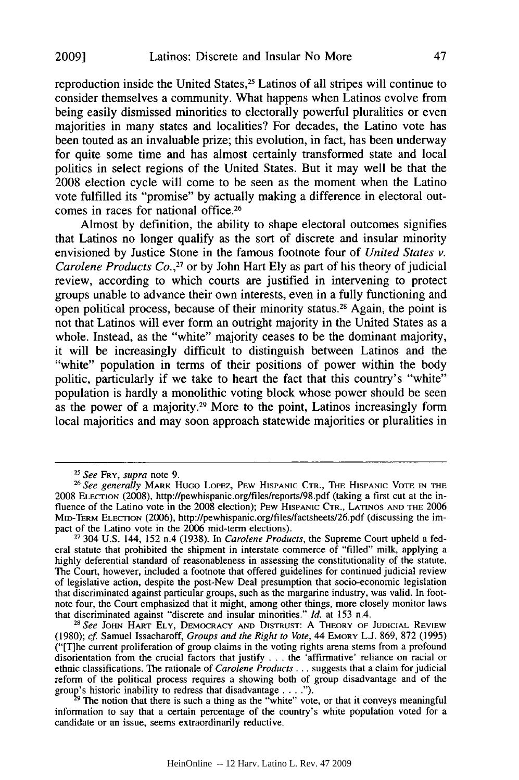reproduction inside the United States,<sup>25</sup> Latinos of all stripes will continue to consider themselves a community. What happens when Latinos evolve from being easily dismissed minorities to electorally powerful pluralities or even majorities in many states and localities? For decades, the Latino vote has been touted as an invaluable prize; this evolution, in fact, has been underway for quite some time and has almost certainly transformed state and local politics in select regions of the United States. But it may well be that the 2008 election cycle will come to be seen as the moment when the Latino vote fulfilled its "promise" by actually making a difference in electoral outcomes in races for national office.<sup>26</sup>

Almost by definition, the ability to shape electoral outcomes signifies that Latinos no longer qualify as the sort of discrete and insular minority envisioned by Justice Stone in the famous footnote four of *United States v. Carolene Products Co.,27* or by John Hart Ely as part of his theory of judicial review, according to which courts are justified in intervening to protect groups unable to advance their own interests, even in a fully functioning and open political process, because of their minority status.<sup>28</sup> Again, the point is not that Latinos will ever form an outright majority in the United States as a whole. Instead, as the "white" majority ceases to be the dominant majority, it will be increasingly difficult to distinguish between Latinos and the "white" population in terms of their positions of power within the body politic, particularly if we take to heart the fact that this country's "white" population is hardly a monolithic voting block whose power should be seen as the power of a majority.29 More to the point, Latinos increasingly form local majorities and may soon approach statewide majorities or pluralities in

*<sup>25</sup>See* FRY, *supra* note 9.

*<sup>26</sup>See generally* MARK HUGO LOPEZ, PEW HISPANIC CTR., **THE** HISPANIC **VOTE IN THE** 2008 **ELECTION** (2008), http://pewhispanic.org/files/reports/98.pdf (taking a first cut at the influence of the Latino vote in the 2008 election); **PEw HISPANIC** CTR., LATINOS **AND THE** 2006 MtD-TERm ELECTION (2006), http://pewhispanic.org/files/factsheets/26.pdf (discussing the impact of the Latino vote in the 2006 mid-term elections).

**<sup>27</sup>** 304 U.S. 144, 152 n.4 (1938). In *Carolene Products,* the Supreme Court upheld a federal statute that prohibited the shipment in interstate commerce of "filled" milk, applying a highly deferential standard of reasonableness in assessing the constitutionality of the statute. The Court, however, included a footnote that offered guidelines for continued judicial review of legislative action, despite the post-New Deal presumption that socio-economic legislation that discriminated against particular groups, such as the margarine industry, was valid. In footnote four, the Court emphasized that it might, among other things, more closely monitor laws that discriminated against "discrete and insular minorities."  $ld$  at 153 n.4.

that discriminated against "discrete and insular minorities." *Id.* at 153 n.4. *<sup>2</sup> 8 See* **JOHN** HART **ELY,** DEMOCRACY **AND DISTRUST:** A THEORY OF **JUDICIAL** REVIEW (1980); *cf.* Samuel Issacharoff, *Groups and the Right to Vote,* 44 EMORY L.J. 869, 872 (1995) ("[T]he current proliferation of group claims in the voting rights arena stems from a profound disorientation from the crucial factors that justify . . . the 'affirmative' reliance on racial or ethnic classifications. The rationale of *Carolene Products* ... suggests that a claim for judicial reform of the political process requires a showing both of group disadvantage and of the group's historic inability to redress that disadvantage **.... ").**

**<sup>29</sup>** The notion that there is such a thing as the "white" vote, or that it conveys meaningful information to say that a certain percentage of the country's white population voted for a candidate or an issue, seems extraordinarily reductive.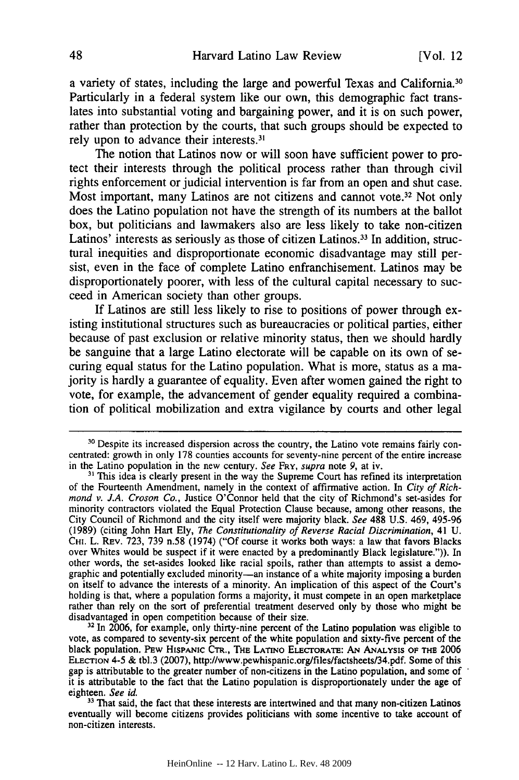a variety of states, including the large and powerful Texas and California.30 Particularly in a federal system like our own, this demographic fact translates into substantial voting and bargaining power, and it is on such power, rather than protection by the courts, that such groups should be expected to rely upon to advance their interests.3'

The notion that Latinos now or will soon have sufficient power to protect their interests through the political process rather than through civil rights enforcement or judicial intervention is far from an open and shut case. Most important, many Latinos are not citizens and cannot vote.<sup>32</sup> Not only does the Latino population not have the strength of its numbers at the ballot box, but politicians and lawmakers also are less likely to take non-citizen Latinos' interests as seriously as those of citizen Latinos.33 In addition, structural inequities and disproportionate economic disadvantage may still persist, even in the face of complete Latino enfranchisement. Latinos may be disproportionately poorer, with less of the cultural capital necessary to succeed in American society than other groups.

If Latinos are still less likely to rise to positions of power through existing institutional structures such as bureaucracies or political parties, either because of past exclusion or relative minority status, then we should hardly be sanguine that a large Latino electorate will be capable on its own of securing equal status for the Latino population. What is more, status as a majority is hardly a guarantee of equality. Even after women gained the right to vote, for example, the advancement of gender equality required a combination of political mobilization and extra vigilance by courts and other legal

**32** In 2006, for example, only thirty-nine percent of the Latino population was eligible to vote, as compared to seventy-six percent of the white population and sixty-five percent of the black population. PEW HISPANIC CTR., THE LATINO ELECTORATE: AN ANALYSIS OF THE 2006 ELECTION 4-5 & tbl.3 (2007), http://www.pewhispanic.org/files/factsheets/34.pdf. Some of this gap is attributable to the greater number of non-citizens in the Latino population, and some of it is attributable to the fact that the Latino population is disproportionately under the age of eighteen. *See id.*

**31** That said, the fact that these interests are intertwined and that many non-citizen Latinos eventually will become citizens provides politicians with some incentive to take account of non-citizen interests.

**<sup>30</sup>** Despite its increased dispersion across the country, the Latino vote remains fairly concentrated: growth in only 178 counties accounts for seventy-nine percent of the entire increase in the Latino population in the new century. See FRY, supra note 9, at iv.

**<sup>31</sup>** This idea is clearly present in the way the Supreme Court has refined its interpretation of the Fourteenth Amendment, namely in the context of affirmative action. In City of Rich*mond v. J.A. Croson Co.,* Justice O'Connor held that the city of Richmond's set-asides for minority contractors violated the Equal Protection Clause because, among other reasons, the City Council of Richmond and the city itself were majority black. *See* 488 U.S. 469, 495-96 (1989) (citing John Hart Ely, *The Constitutionality of Reverse Racial Discrimination,* 41 U. **CHI.** L. Rav. 723, 739 n.58 (1974) ("Of course it works both ways: a law that favors Blacks over Whites would be suspect if it were enacted by a predominantly Black legislature.")). In other words, the set-asides looked like racial spoils, rather than attempts to assist a demographic and potentially excluded minority-an instance of a white majority imposing a burden on itself to advance the interests of a minority. An implication of this aspect of the Court's holding is that, where a population forms a majority, it must compete in an open marketplace rather than rely on the sort of preferential treatment deserved only by those who might be disadvantaged in open competition because of their size.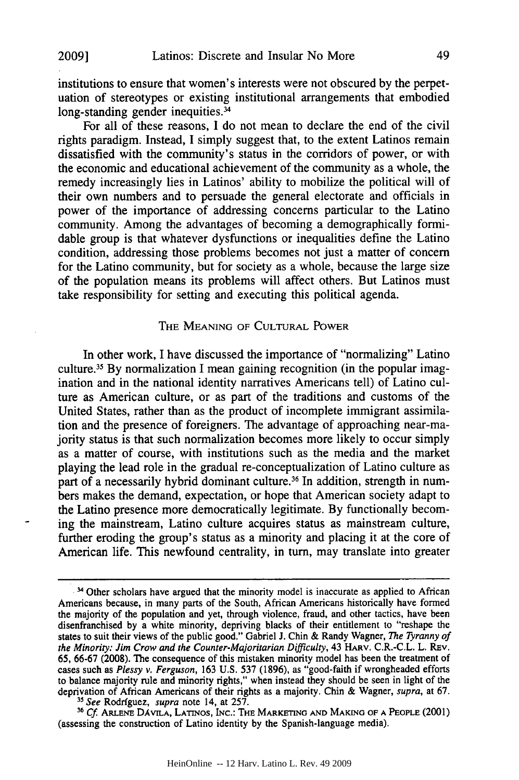institutions to ensure that women's interests were not obscured by the perpetuation of stereotypes or existing institutional arrangements that embodied long-standing gender inequities.<sup>34</sup>

For all of these reasons, I do not mean to declare the end of the civil rights paradigm. Instead, I simply suggest that, to the extent Latinos remain dissatisfied with the community's status in the corridors of power, or with the economic and educational achievement of the community as a whole, the remedy increasingly lies in Latinos' ability to mobilize the political will of their own numbers and to persuade the general electorate and officials in power of the importance of addressing concerns particular to the Latino community. Among the advantages of becoming a demographically formidable group is that whatever dysfunctions or inequalities define the Latino condition, addressing those problems becomes not just a matter of concern for the Latino community, but for society as a whole, because the large size of the population means its problems will affect others. But Latinos must take responsibility for setting and executing this political agenda.

## THE MEANING OF CULTURAL POWER

In other work, I have discussed the importance of "normalizing" Latino culture.35 By normalization I mean gaining recognition (in the popular imagination and in the national identity narratives Americans tell) of Latino culture as American culture, or as part of the traditions and customs of the United States, rather than as the product of incomplete immigrant assimilation and the presence of foreigners. The advantage of approaching near-majority status is that such normalization becomes more likely to occur simply as a matter of course, with institutions such as the media and the market playing the lead role in the gradual re-conceptualization of Latino culture as part of a necessarily hybrid dominant culture.<sup>36</sup> In addition, strength in numbers makes the demand, expectation, or hope that American society adapt to the Latino presence more democratically legitimate. By functionally becoming the mainstream, Latino culture acquires status as mainstream culture, further eroding the group's status as a minority and placing it at the core of American life. This newfound centrality, in turn, may translate into greater

**<sup>35</sup>***See* Rodrfguez, *supra* note 14, at 257. *36 Cf* **ARLENE** DAVILA, LATINOS, INc.: THE MARKETING **AND MAKING** OF **A** PEOPLE (2001) (assessing the construction of Latino identity by the Spanish-language media).

<sup>&</sup>lt;sup>34</sup> Other scholars have argued that the minority model is inaccurate as applied to African Americans because, in many parts of the South, African Americans historically have formed the majority of the population and yet, through violence, fraud, and other tactics, have been disenfranchised by a white minority, depriving blacks of their entitlement to "reshape the states to suit their views of the public good." Gabriel **J.** Chin & Randy Wagner, *The* Tyranny *of* the *Minority: Jim Crow and the Counter-Majoritarian* Difficulty, 43 HARV. C.R.-C.L. L. REv. 65, 66-67 (2008). The consequence of this mistaken minority model has been the treatment of cases such as *Plessy v. Ferguson,* 163 U.S. 537 (1896), as "good-faith if wrongheaded efforts to balance majority rule and minority rights," when instead they should be seen in light of the deprivation of African Americans of their rights as a majority. Chin & Wagner, supra, at 67.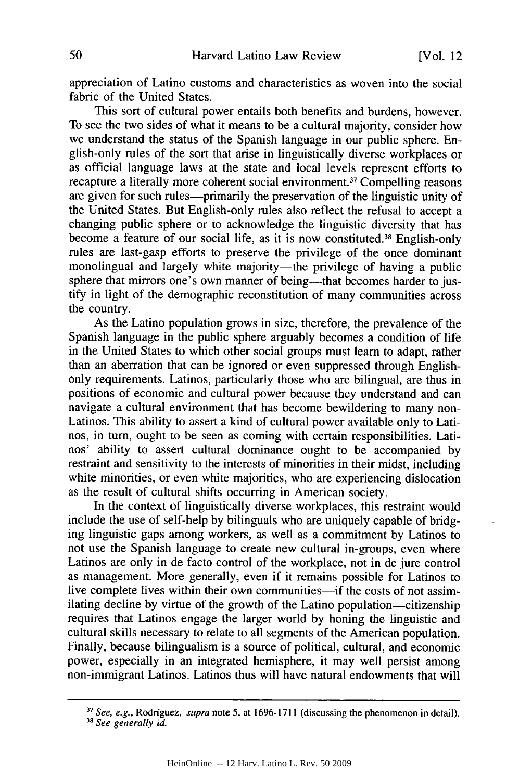appreciation of Latino customs and characteristics as woven into the social fabric of the United States.

This sort of cultural power entails both benefits and burdens, however. To see the two sides of what it means to be a cultural majority, consider how we understand the status of the Spanish language in our public sphere. English-only rules of the sort that arise in linguistically diverse workplaces or as official language laws at the state and local levels represent efforts to recapture a literally more coherent social environment.<sup>37</sup> Compelling reasons are given for such rules—primarily the preservation of the linguistic unity of the United States. But English-only rules also reflect the refusal to accept a changing public sphere or to acknowledge the linguistic diversity that has become a feature of our social life, as it is now constituted. 38 English-only rules are last-gasp efforts to preserve the privilege of the once dominant monolingual and largely white majority—the privilege of having a public sphere that mirrors one's own manner of being-that becomes harder to justify in light of the demographic reconstitution of many communities across the country.

As the Latino population grows in size, therefore, the prevalence of the Spanish language in the public sphere arguably becomes a condition of life in the United States to which other social groups must learn to adapt, rather than an aberration that can be ignored or even suppressed through Englishonly requirements. Latinos, particularly those who are bilingual, are thus in positions of economic and cultural power because they understand and can navigate a cultural environment that has become bewildering to many non-Latinos. This ability to assert a kind of cultural power available only to Latinos, in turn, ought to be seen as coming with certain responsibilities. Latinos' ability to assert cultural dominance ought to be accompanied by restraint and sensitivity to the interests of minorities in their midst, including white minorities, or even white majorities, who are experiencing dislocation as the result of cultural shifts occurring in American society.

In the context of linguistically diverse workplaces, this restraint would include the use of self-help by bilinguals who are uniquely capable of bridging linguistic gaps among workers, as well as a commitment by Latinos to not use the Spanish language to create new cultural in-groups, even where Latinos are only in de facto control of the workplace, not in de jure control as management. More generally, even if it remains possible for Latinos to live complete lives within their own communities-if the costs of not assimilating decline by virtue of the growth of the Latino population-citizenship requires that Latinos engage the larger world by honing the linguistic and cultural skills necessary to relate to all segments of the American population. Finally, because bilingualism is a source of political, cultural, and economic power, especially in an integrated hemisphere, it may well persist among non-immigrant Latinos. Latinos thus will have natural endowments that will

<sup>&</sup>lt;sup>37</sup> See, e.g., Rodríguez, *supra* note 5, at 1696-1711 (discussing the phenomenon in detail). <sup>38</sup> See generally id.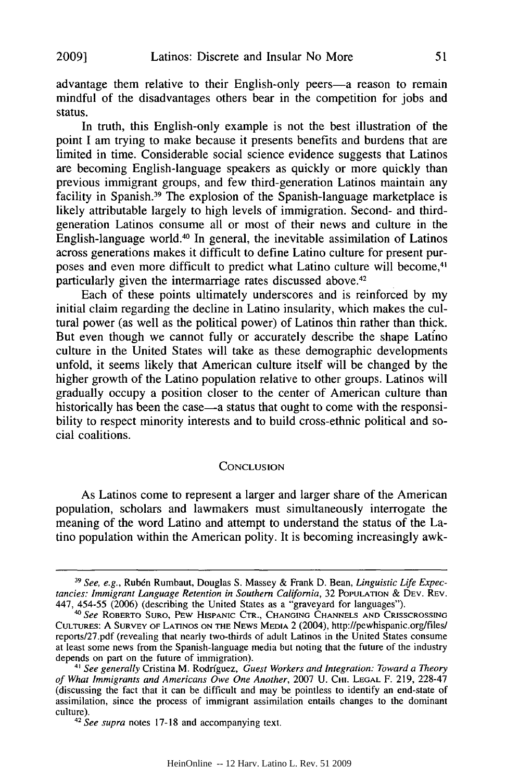advantage them relative to their English-only peers-a reason to remain mindful of the disadvantages others bear in the competition for jobs and status.

In truth, this English-only example is not the best illustration of the point I am trying to make because it presents benefits and burdens that are limited in time. Considerable social science evidence suggests that Latinos are becoming English-language speakers as quickly or more quickly than previous immigrant groups, and few third-generation Latinos maintain any facility in Spanish.<sup>39</sup> The explosion of the Spanish-language marketplace is likely attributable largely to high levels of immigration. Second- and thirdgeneration Latinos consume all or most of their news and culture in the English-language world.40 In general, the inevitable assimilation of Latinos across generations makes it difficult to define Latino culture for present purposes and even more difficult to predict what Latino culture will become,4 particularly given the intermarriage rates discussed above.<sup>42</sup>

Each of these points ultimately underscores and is reinforced by my initial claim regarding the decline in Latino insularity, which makes the cultural power (as well as the political power) of Latinos thin rather than thick. But even though we cannot fully or accurately describe the shape Latino culture in the United States will take as these demographic developments unfold, it seems likely that American culture itself will be changed by the higher growth of the Latino population relative to other groups. Latinos will gradually occupy a position closer to the center of American culture than historically has been the case—a status that ought to come with the responsibility to respect minority interests and to build cross-ethnic political and social coalitions.

#### **CONCLUSION**

As Latinos come to represent a larger and larger share of the American population, scholars and lawmakers must simultaneously interrogate the meaning of the word Latino and attempt to understand the status of the Latino population within the American polity. It is becoming increasingly awk-

*<sup>39</sup> See, e.g.,* Ruben Rumbaut, Douglas S. Massey & Frank D. Bean, *Linguistic Life Expectancies: Immigrant Language Retention in Southern California,* 32 POPULATION & DEV. REV. 447, 454-55 (2006) (describing the United States as a "graveyard for languages").

*I See* ROBERTO **SURO,** PEW HISPANIC CTR., **CHANGING CHANNELS AND CRISSCROSSING** CUTURES: A SURVEY OF LATINOS **ON** THE **NEWS MEDIA** 2 (2004), http://pewhispanic.org/filesl reports/27.pdf (revealing that nearly two-thirds of adult Latinos in the United States consume at least some news from the Spanish-language media but noting that the future of the industry depends on part on the future of immigration).

*<sup>4&</sup>quot; See generally* Cristina M. Rodriguez, *Guest Workers and Integration: Toward a Theory of What Immigrants and Americans Owe One Another,* 2007 U. **CHI. LEGAL** F. 219, 228-47 (discussing the fact that it can be difficult and may be pointless to identify an end-state of assimilation, since the process of immigrant assimilation entails changes to the dominant culture).

*<sup>42</sup> See supra* notes 17-18 and accompanying text.